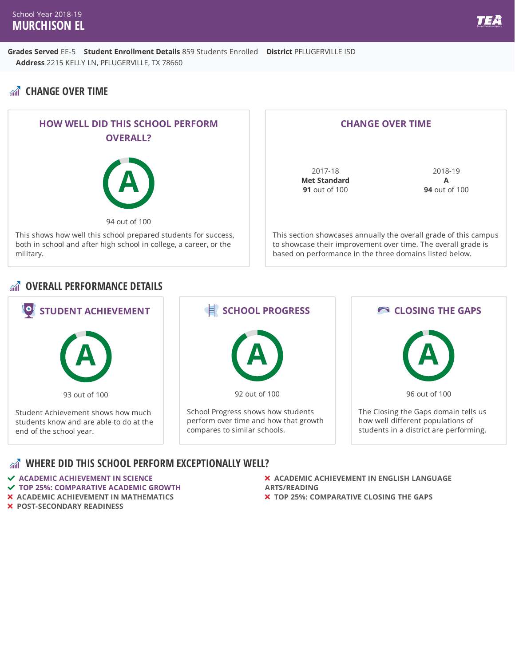# **CHANGE OVER TIME**



#### **CHANGE OVER TIME**

2017-18 **Met Standard 91** out of 100

2018-19 **A 94** out of 100

This section showcases annually the overall grade of this campus to showcase their improvement over time. The overall grade is based on performance in the three domains listed below.

#### **OVERALL PERFORMANCE DETAILS**



#### **WHERE DID THIS SCHOOL PERFORM EXCEPTIONALLY WELL?**

- **ACADEMIC ACHIEVEMENT IN SCIENCE**
- **TOP 25%: COMPARATIVE ACADEMIC GROWTH**
- **ACADEMIC ACHIEVEMENT IN MATHEMATICS**
- **POST-SECONDARY READINESS**
- **ACADEMIC ACHIEVEMENT IN ENGLISH LANGUAGE ARTS/READING**
- **TOP 25%: COMPARATIVE CLOSING THE GAPS**